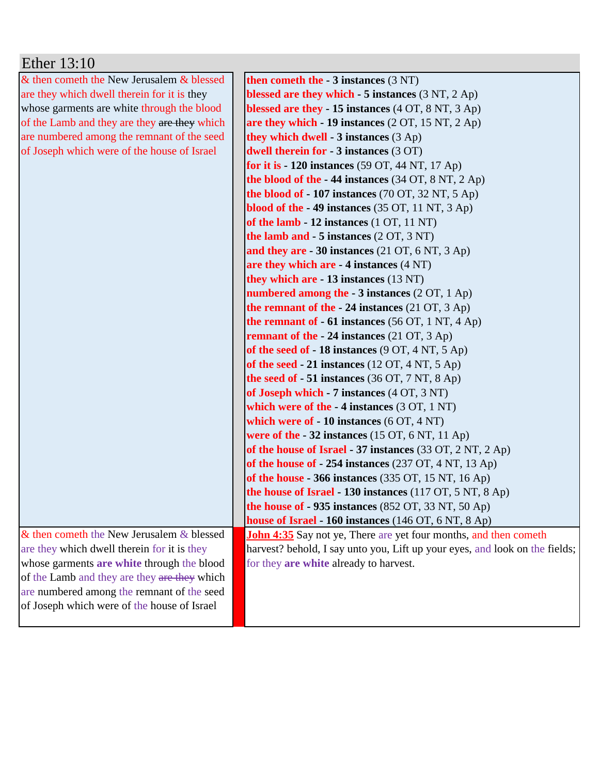| Ether 13:10                                  |                                                                             |
|----------------------------------------------|-----------------------------------------------------------------------------|
| & then cometh the New Jerusalem & blessed    | then cometh the $-3$ instances $(3 \text{ NT})$                             |
| are they which dwell therein for it is they  | blessed are they which $-5$ instances $(3 NT, 2 Ap)$                        |
| whose garments are white through the blood   | blessed are they - 15 instances (4 OT, 8 NT, 3 Ap)                          |
| of the Lamb and they are they are they which | are they which $-19$ instances (2 OT, 15 NT, 2 Ap)                          |
| are numbered among the remnant of the seed   | they which dwell - $3$ instances $(3$ Ap)                                   |
| of Joseph which were of the house of Israel  | dwell therein for - 3 instances (3 OT)                                      |
|                                              | for it is $-120$ instances (59 OT, 44 NT, 17 Ap)                            |
|                                              | the blood of the $-44$ instances (34 OT, 8 NT, 2 Ap)                        |
|                                              | the blood of $-107$ instances (70 OT, 32 NT, 5 Ap)                          |
|                                              | blood of the $-49$ instances (35 OT, 11 NT, 3 Ap)                           |
|                                              | of the lamb $-12$ instances $(1 OT, 11 NT)$                                 |
|                                              | the lamb and $-5$ instances $(2 OT, 3 NT)$                                  |
|                                              | and they are $-30$ instances (21 OT, 6 NT, 3 Ap)                            |
|                                              | are they which are $-4$ instances $(4 \text{ NT})$                          |
|                                              | they which are - 13 instances (13 NT)                                       |
|                                              | numbered among the $-3$ instances (2 OT, 1 Ap)                              |
|                                              | the remnant of the $-24$ instances (21 OT, 3 Ap)                            |
|                                              | the remnant of $-61$ instances (56 OT, 1 NT, 4 Ap)                          |
|                                              | <b>remnant of the - 24 instances</b> $(21 \text{ OT}, 3 \text{ Ap})$        |
|                                              | of the seed of - 18 instances (9 OT, 4 NT, 5 Ap)                            |
|                                              | of the seed $-21$ instances (12 OT, 4 NT, 5 Ap)                             |
|                                              | the seed of $-51$ instances (36 OT, 7 NT, 8 Ap)                             |
|                                              | of Joseph which $-7$ instances $(4 \text{ OT}, 3 \text{ NT})$               |
|                                              | which were of the $-4$ instances $(3 OT, 1 NT)$                             |
|                                              | which were of $-10$ instances $(6 \text{ OT}, 4 \text{ NT})$                |
|                                              | were of the $-32$ instances (15 OT, 6 NT, 11 Ap)                            |
|                                              | of the house of Israel - 37 instances (33 OT, 2 NT, 2 Ap)                   |
|                                              | of the house of $-254$ instances (237 OT, 4 NT, 13 Ap)                      |
|                                              | of the house $-366$ instances (335 OT, 15 NT, 16 Ap)                        |
|                                              | the house of Israel $-130$ instances (117 OT, 5 NT, 8 Ap)                   |
|                                              | the house of - 935 instances (852 OT, 33 NT, 50 Ap)                         |
|                                              | house of Israel - 160 instances (146 OT, 6 NT, 8 Ap)                        |
| & then cometh the New Jerusalem & blessed    | <b>John 4:35</b> Say not ye, There are yet four months, and then cometh     |
| are they which dwell therein for it is they  | harvest? behold, I say unto you, Lift up your eyes, and look on the fields; |
| whose garments are white through the blood   | for they are white already to harvest.                                      |
| of the Lamb and they are they are they which |                                                                             |
| are numbered among the remnant of the seed   |                                                                             |
| of Joseph which were of the house of Israel  |                                                                             |
|                                              |                                                                             |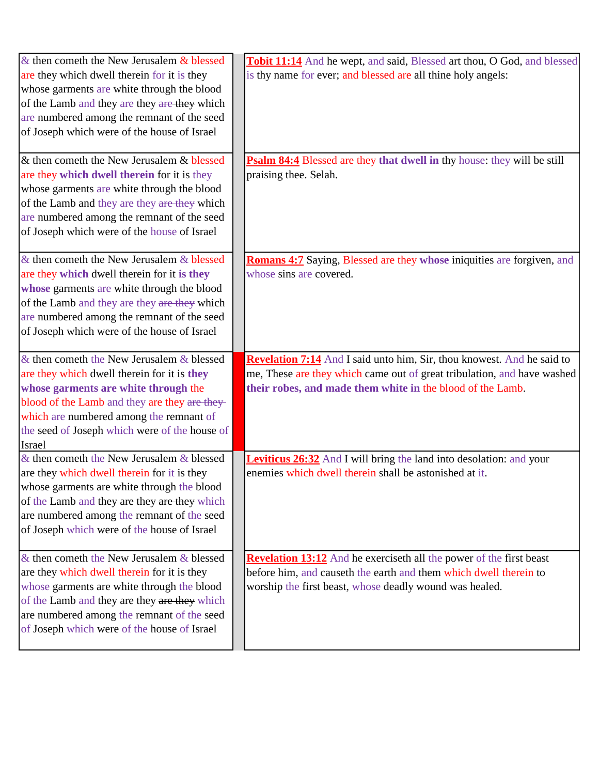| $\&$ then cometh the New Jerusalem $\&$ blessed | Tobit 11:14 And he wept, and said, Blessed art thou, O God, and blessed       |
|-------------------------------------------------|-------------------------------------------------------------------------------|
| are they which dwell therein for it is they     | is thy name for ever; and blessed are all thine holy angels:                  |
| whose garments are white through the blood      |                                                                               |
| of the Lamb and they are they are they which    |                                                                               |
| are numbered among the remnant of the seed      |                                                                               |
| of Joseph which were of the house of Israel     |                                                                               |
| & then cometh the New Jerusalem & blessed       | Psalm 84:4 Blessed are they that dwell in thy house: they will be still       |
| are they which dwell therein for it is they     | praising thee. Selah.                                                         |
| whose garments are white through the blood      |                                                                               |
| of the Lamb and they are they are they which    |                                                                               |
| are numbered among the remnant of the seed      |                                                                               |
| of Joseph which were of the house of Israel     |                                                                               |
| & then cometh the New Jerusalem & blessed       | <b>Romans 4:7</b> Saying, Blessed are they whose iniquities are forgiven, and |
| are they which dwell therein for it is they     | whose sins are covered.                                                       |
| whose garments are white through the blood      |                                                                               |
| of the Lamb and they are they are they which    |                                                                               |
| are numbered among the remnant of the seed      |                                                                               |
| of Joseph which were of the house of Israel     |                                                                               |
| $\&$ then cometh the New Jerusalem $\&$ blessed | <b>Revelation 7:14</b> And I said unto him, Sir, thou knowest. And he said to |
| are they which dwell therein for it is they     | me, These are they which came out of great tribulation, and have washed       |
| whose garments are white through the            | their robes, and made them white in the blood of the Lamb.                    |
| blood of the Lamb and they are they are they-   |                                                                               |
| which are numbered among the remnant of         |                                                                               |
| the seed of Joseph which were of the house of   |                                                                               |
| Israel                                          |                                                                               |
| & then cometh the New Jerusalem & blessed       | Leviticus 26:32 And I will bring the land into desolation: and your           |
| are they which dwell therein for it is they     | enemies which dwell therein shall be astonished at it.                        |
| whose garments are white through the blood      |                                                                               |
| of the Lamb and they are they are they which    |                                                                               |
| are numbered among the remnant of the seed      |                                                                               |
| of Joseph which were of the house of Israel     |                                                                               |
| $&$ then cometh the New Jerusalem $&$ blessed   | <b>Revelation 13:12</b> And he exerciseth all the power of the first beast    |
| are they which dwell therein for it is they     | before him, and causeth the earth and them which dwell therein to             |
| whose garments are white through the blood      | worship the first beast, whose deadly wound was healed.                       |
| of the Lamb and they are they are they which    |                                                                               |
| are numbered among the remnant of the seed      |                                                                               |
| of Joseph which were of the house of Israel     |                                                                               |
|                                                 |                                                                               |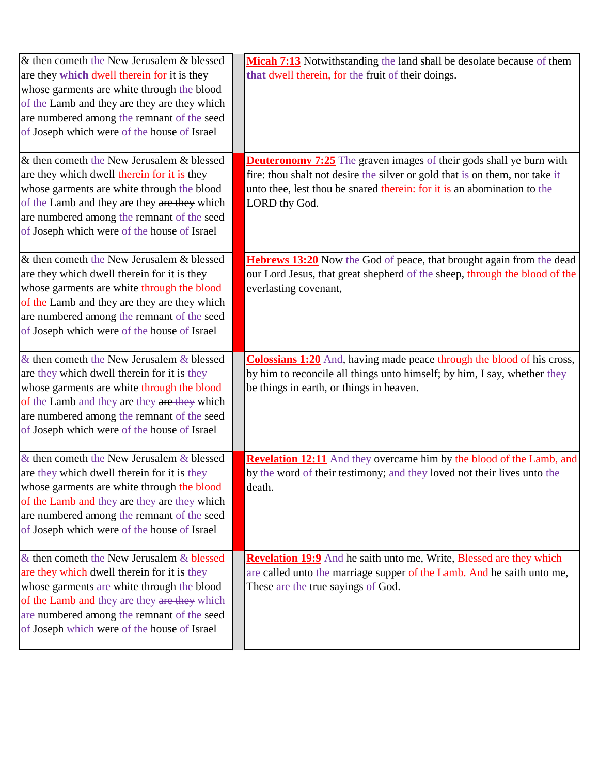| & then cometh the New Jerusalem & blessed<br>are they which dwell therein for it is they<br>whose garments are white through the blood<br>of the Lamb and they are they are they which<br>are numbered among the remnant of the seed<br>of Joseph which were of the house of Israel   | Micah 7:13 Notwithstanding the land shall be desolate because of them<br>that dwell therein, for the fruit of their doings.                                                                                                                           |
|---------------------------------------------------------------------------------------------------------------------------------------------------------------------------------------------------------------------------------------------------------------------------------------|-------------------------------------------------------------------------------------------------------------------------------------------------------------------------------------------------------------------------------------------------------|
| & then cometh the New Jerusalem & blessed<br>are they which dwell therein for it is they<br>whose garments are white through the blood<br>of the Lamb and they are they are they which<br>are numbered among the remnant of the seed<br>of Joseph which were of the house of Israel   | <b>Deuteronomy 7:25</b> The graven images of their gods shall ye burn with<br>fire: thou shalt not desire the silver or gold that is on them, nor take it<br>unto thee, lest thou be snared therein: for it is an abomination to the<br>LORD thy God. |
| & then cometh the New Jerusalem & blessed<br>are they which dwell therein for it is they<br>whose garments are white through the blood<br>of the Lamb and they are they are they which<br>are numbered among the remnant of the seed<br>of Joseph which were of the house of Israel   | Hebrews 13:20 Now the God of peace, that brought again from the dead<br>our Lord Jesus, that great shepherd of the sheep, through the blood of the<br>everlasting covenant,                                                                           |
| & then cometh the New Jerusalem & blessed<br>are they which dwell therein for it is they<br>whose garments are white through the blood<br>of the Lamb and they are they are they which<br>are numbered among the remnant of the seed<br>of Joseph which were of the house of Israel   | <b>Colossians 1:20</b> And, having made peace through the blood of his cross,<br>by him to reconcile all things unto himself; by him, I say, whether they<br>be things in earth, or things in heaven.                                                 |
| & then cometh the New Jerusalem $&$ blessed<br>are they which dwell therein for it is they<br>whose garments are white through the blood<br>of the Lamb and they are they are they which<br>are numbered among the remnant of the seed<br>of Joseph which were of the house of Israel | <b>Revelation 12:11</b> And they overcame him by the blood of the Lamb, and<br>by the word of their testimony; and they loved not their lives unto the<br>death.                                                                                      |
| & then cometh the New Jerusalem & blessed<br>are they which dwell therein for it is they<br>whose garments are white through the blood<br>of the Lamb and they are they are they which<br>are numbered among the remnant of the seed<br>of Joseph which were of the house of Israel   | Revelation 19:9 And he saith unto me, Write, Blessed are they which<br>are called unto the marriage supper of the Lamb. And he saith unto me,<br>These are the true sayings of God.                                                                   |